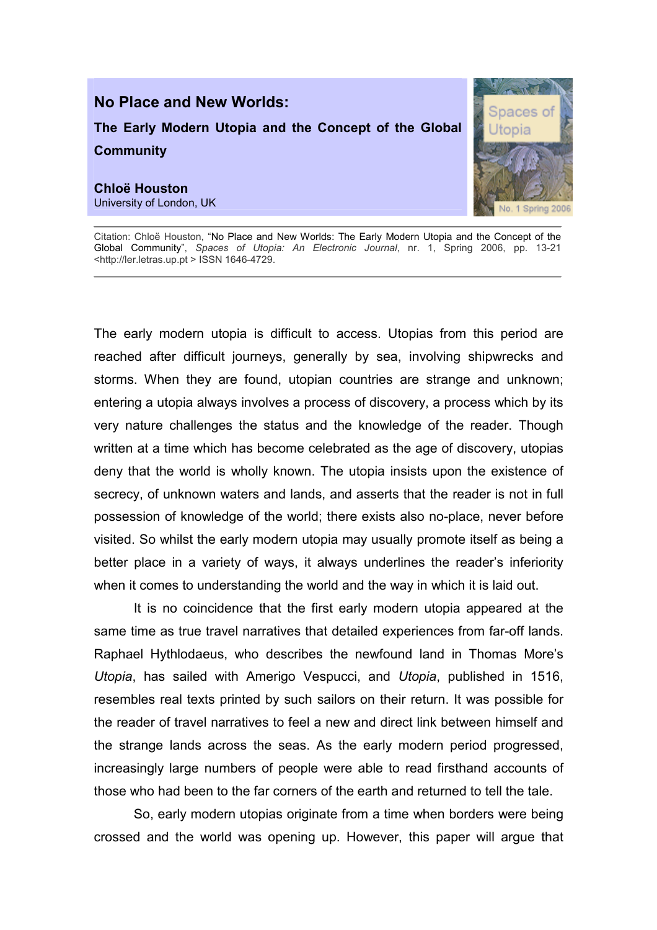

Citation: Chloë Houston, "No Place and New Worlds: The Early Modern Utopia and the Concept of the Global Community", Spaces of Utopia: An Electronic Journal, nr. 1, Spring 2006, pp. 13-21 <http://ler.letras.up.pt > ISSN 1646-4729.

The early modern utopia is difficult to access. Utopias from this period are reached after difficult journeys, generally by sea, involving shipwrecks and storms. When they are found, utopian countries are strange and unknown; entering a utopia always involves a process of discovery, a process which by its very nature challenges the status and the knowledge of the reader. Though written at a time which has become celebrated as the age of discovery, utopias deny that the world is wholly known. The utopia insists upon the existence of secrecy, of unknown waters and lands, and asserts that the reader is not in full possession of knowledge of the world; there exists also no-place, never before visited. So whilst the early modern utopia may usually promote itself as being a better place in a variety of ways, it always underlines the reader's inferiority when it comes to understanding the world and the way in which it is laid out.

It is no coincidence that the first early modern utopia appeared at the same time as true travel narratives that detailed experiences from far-off lands. Raphael Hythlodaeus, who describes the newfound land in Thomas More's Utopia, has sailed with Amerigo Vespucci, and Utopia, published in 1516, resembles real texts printed by such sailors on their return. It was possible for the reader of travel narratives to feel a new and direct link between himself and the strange lands across the seas. As the early modern period progressed, increasingly large numbers of people were able to read firsthand accounts of those who had been to the far corners of the earth and returned to tell the tale.

So, early modern utopias originate from a time when borders were being crossed and the world was opening up. However, this paper will argue that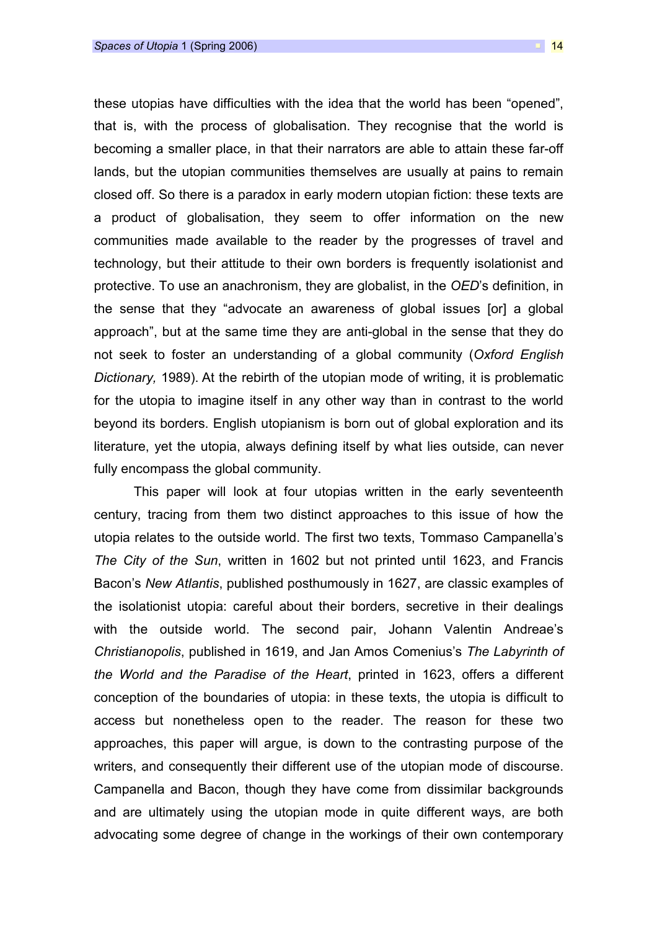these utopias have difficulties with the idea that the world has been "opened", that is, with the process of globalisation. They recognise that the world is becoming a smaller place, in that their narrators are able to attain these far-off lands, but the utopian communities themselves are usually at pains to remain closed off. So there is a paradox in early modern utopian fiction: these texts are a product of globalisation, they seem to offer information on the new communities made available to the reader by the progresses of travel and technology, but their attitude to their own borders is frequently isolationist and protective. To use an anachronism, they are globalist, in the OED's definition, in the sense that they "advocate an awareness of global issues [or] a global approach", but at the same time they are anti-global in the sense that they do not seek to foster an understanding of a global community (Oxford English Dictionary, 1989). At the rebirth of the utopian mode of writing, it is problematic for the utopia to imagine itself in any other way than in contrast to the world beyond its borders. English utopianism is born out of global exploration and its literature, yet the utopia, always defining itself by what lies outside, can never fully encompass the global community.

This paper will look at four utopias written in the early seventeenth century, tracing from them two distinct approaches to this issue of how the utopia relates to the outside world. The first two texts, Tommaso Campanella's The City of the Sun, written in 1602 but not printed until 1623, and Francis Bacon's New Atlantis, published posthumously in 1627, are classic examples of the isolationist utopia: careful about their borders, secretive in their dealings with the outside world. The second pair, Johann Valentin Andreae's Christianopolis, published in 1619, and Jan Amos Comenius's The Labyrinth of the World and the Paradise of the Heart, printed in 1623, offers a different conception of the boundaries of utopia: in these texts, the utopia is difficult to access but nonetheless open to the reader. The reason for these two approaches, this paper will argue, is down to the contrasting purpose of the writers, and consequently their different use of the utopian mode of discourse. Campanella and Bacon, though they have come from dissimilar backgrounds and are ultimately using the utopian mode in quite different ways, are both advocating some degree of change in the workings of their own contemporary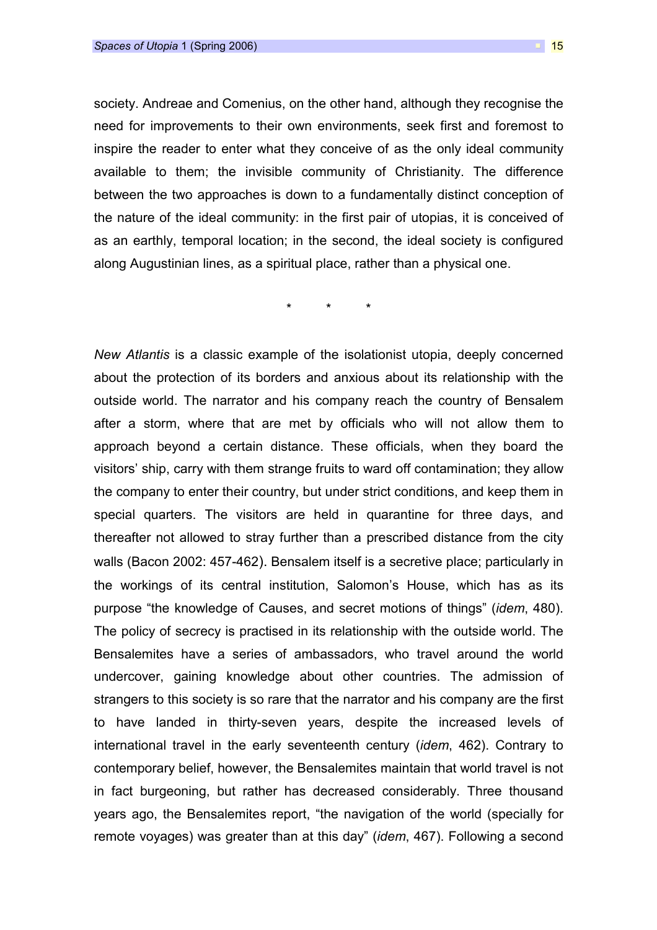society. Andreae and Comenius, on the other hand, although they recognise the need for improvements to their own environments, seek first and foremost to inspire the reader to enter what they conceive of as the only ideal community available to them; the invisible community of Christianity. The difference between the two approaches is down to a fundamentally distinct conception of the nature of the ideal community: in the first pair of utopias, it is conceived of as an earthly, temporal location; in the second, the ideal society is configured along Augustinian lines, as a spiritual place, rather than a physical one.

\* \* \*

New Atlantis is a classic example of the isolationist utopia, deeply concerned about the protection of its borders and anxious about its relationship with the outside world. The narrator and his company reach the country of Bensalem after a storm, where that are met by officials who will not allow them to approach beyond a certain distance. These officials, when they board the visitors' ship, carry with them strange fruits to ward off contamination; they allow the company to enter their country, but under strict conditions, and keep them in special quarters. The visitors are held in quarantine for three days, and thereafter not allowed to stray further than a prescribed distance from the city walls (Bacon 2002: 457-462). Bensalem itself is a secretive place; particularly in the workings of its central institution, Salomon's House, which has as its purpose "the knowledge of Causes, and secret motions of things" (idem, 480). The policy of secrecy is practised in its relationship with the outside world. The Bensalemites have a series of ambassadors, who travel around the world undercover, gaining knowledge about other countries. The admission of strangers to this society is so rare that the narrator and his company are the first to have landed in thirty-seven years, despite the increased levels of international travel in the early seventeenth century (idem, 462). Contrary to contemporary belief, however, the Bensalemites maintain that world travel is not in fact burgeoning, but rather has decreased considerably. Three thousand years ago, the Bensalemites report, "the navigation of the world (specially for remote voyages) was greater than at this day" (idem, 467). Following a second

 $\Box$  15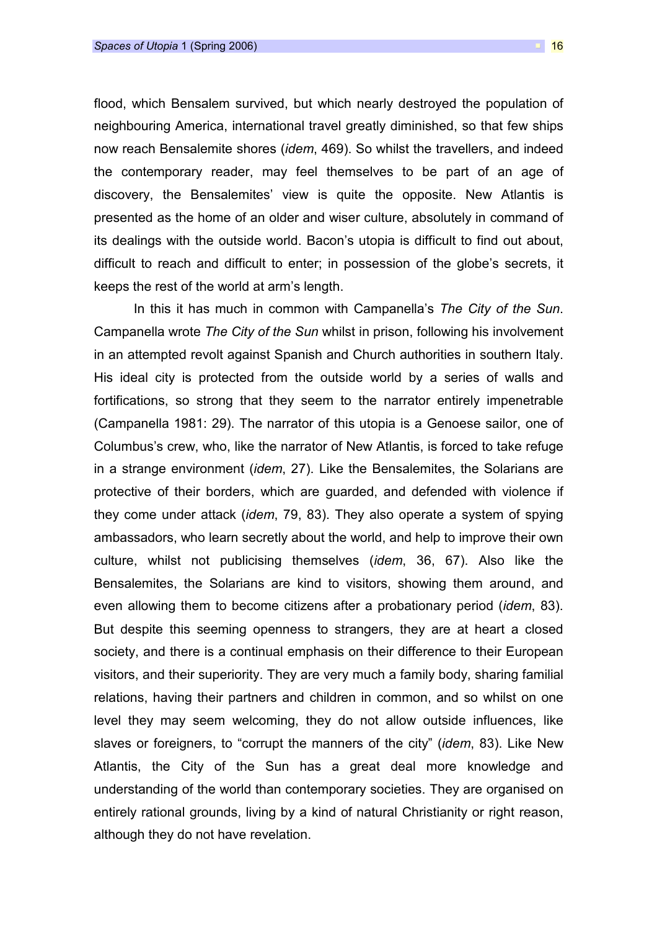flood, which Bensalem survived, but which nearly destroyed the population of neighbouring America, international travel greatly diminished, so that few ships now reach Bensalemite shores (idem, 469). So whilst the travellers, and indeed the contemporary reader, may feel themselves to be part of an age of discovery, the Bensalemites' view is quite the opposite. New Atlantis is presented as the home of an older and wiser culture, absolutely in command of its dealings with the outside world. Bacon's utopia is difficult to find out about, difficult to reach and difficult to enter; in possession of the globe's secrets, it keeps the rest of the world at arm's length.

In this it has much in common with Campanella's The City of the Sun. Campanella wrote The City of the Sun whilst in prison, following his involvement in an attempted revolt against Spanish and Church authorities in southern Italy. His ideal city is protected from the outside world by a series of walls and fortifications, so strong that they seem to the narrator entirely impenetrable (Campanella 1981: 29). The narrator of this utopia is a Genoese sailor, one of Columbus's crew, who, like the narrator of New Atlantis, is forced to take refuge in a strange environment (idem, 27). Like the Bensalemites, the Solarians are protective of their borders, which are guarded, and defended with violence if they come under attack (idem, 79, 83). They also operate a system of spying ambassadors, who learn secretly about the world, and help to improve their own culture, whilst not publicising themselves (idem, 36, 67). Also like the Bensalemites, the Solarians are kind to visitors, showing them around, and even allowing them to become citizens after a probationary period (idem, 83). But despite this seeming openness to strangers, they are at heart a closed society, and there is a continual emphasis on their difference to their European visitors, and their superiority. They are very much a family body, sharing familial relations, having their partners and children in common, and so whilst on one level they may seem welcoming, they do not allow outside influences, like slaves or foreigners, to "corrupt the manners of the city" (*idem*, 83). Like New Atlantis, the City of the Sun has a great deal more knowledge and understanding of the world than contemporary societies. They are organised on entirely rational grounds, living by a kind of natural Christianity or right reason, although they do not have revelation.

 $\Box$  16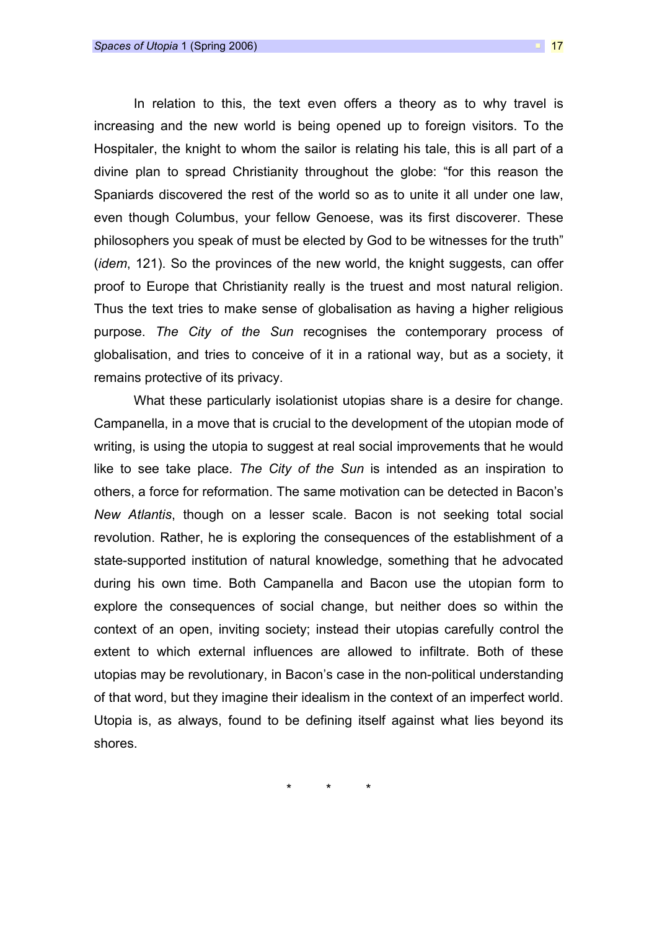In relation to this, the text even offers a theory as to why travel is increasing and the new world is being opened up to foreign visitors. To the Hospitaler, the knight to whom the sailor is relating his tale, this is all part of a divine plan to spread Christianity throughout the globe: "for this reason the Spaniards discovered the rest of the world so as to unite it all under one law, even though Columbus, your fellow Genoese, was its first discoverer. These philosophers you speak of must be elected by God to be witnesses for the truth" (idem, 121). So the provinces of the new world, the knight suggests, can offer proof to Europe that Christianity really is the truest and most natural religion. Thus the text tries to make sense of globalisation as having a higher religious purpose. The City of the Sun recognises the contemporary process of globalisation, and tries to conceive of it in a rational way, but as a society, it remains protective of its privacy.

What these particularly isolationist utopias share is a desire for change. Campanella, in a move that is crucial to the development of the utopian mode of writing, is using the utopia to suggest at real social improvements that he would like to see take place. The City of the Sun is intended as an inspiration to others, a force for reformation. The same motivation can be detected in Bacon's New Atlantis, though on a lesser scale. Bacon is not seeking total social revolution. Rather, he is exploring the consequences of the establishment of a state-supported institution of natural knowledge, something that he advocated during his own time. Both Campanella and Bacon use the utopian form to explore the consequences of social change, but neither does so within the context of an open, inviting society; instead their utopias carefully control the extent to which external influences are allowed to infiltrate. Both of these utopias may be revolutionary, in Bacon's case in the non-political understanding of that word, but they imagine their idealism in the context of an imperfect world. Utopia is, as always, found to be defining itself against what lies beyond its shores.

\* \* \*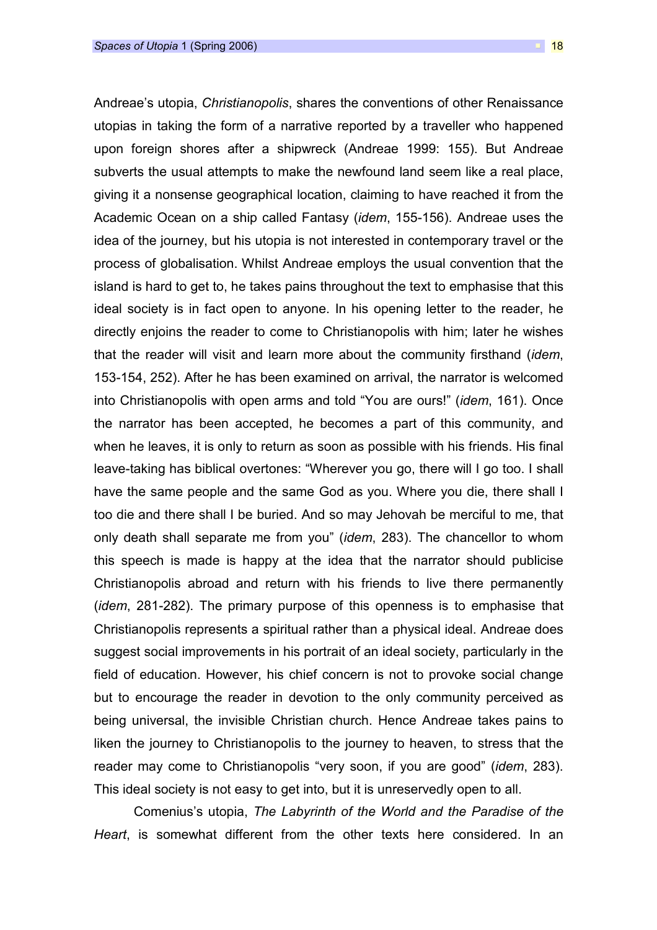Andreae's utopia, Christianopolis, shares the conventions of other Renaissance utopias in taking the form of a narrative reported by a traveller who happened upon foreign shores after a shipwreck (Andreae 1999: 155). But Andreae

subverts the usual attempts to make the newfound land seem like a real place, giving it a nonsense geographical location, claiming to have reached it from the Academic Ocean on a ship called Fantasy (idem, 155-156). Andreae uses the idea of the journey, but his utopia is not interested in contemporary travel or the process of globalisation. Whilst Andreae employs the usual convention that the island is hard to get to, he takes pains throughout the text to emphasise that this ideal society is in fact open to anyone. In his opening letter to the reader, he directly enjoins the reader to come to Christianopolis with him; later he wishes that the reader will visit and learn more about the community firsthand (idem, 153-154, 252). After he has been examined on arrival, the narrator is welcomed into Christianopolis with open arms and told "You are ours!" (idem, 161). Once the narrator has been accepted, he becomes a part of this community, and when he leaves, it is only to return as soon as possible with his friends. His final leave-taking has biblical overtones: "Wherever you go, there will I go too. I shall have the same people and the same God as you. Where you die, there shall I too die and there shall I be buried. And so may Jehovah be merciful to me, that only death shall separate me from you" (idem, 283). The chancellor to whom this speech is made is happy at the idea that the narrator should publicise Christianopolis abroad and return with his friends to live there permanently (idem, 281-282). The primary purpose of this openness is to emphasise that Christianopolis represents a spiritual rather than a physical ideal. Andreae does suggest social improvements in his portrait of an ideal society, particularly in the field of education. However, his chief concern is not to provoke social change but to encourage the reader in devotion to the only community perceived as being universal, the invisible Christian church. Hence Andreae takes pains to liken the journey to Christianopolis to the journey to heaven, to stress that the reader may come to Christianopolis "very soon, if you are good" (idem, 283). This ideal society is not easy to get into, but it is unreservedly open to all.

Comenius's utopia, The Labyrinth of the World and the Paradise of the Heart, is somewhat different from the other texts here considered. In an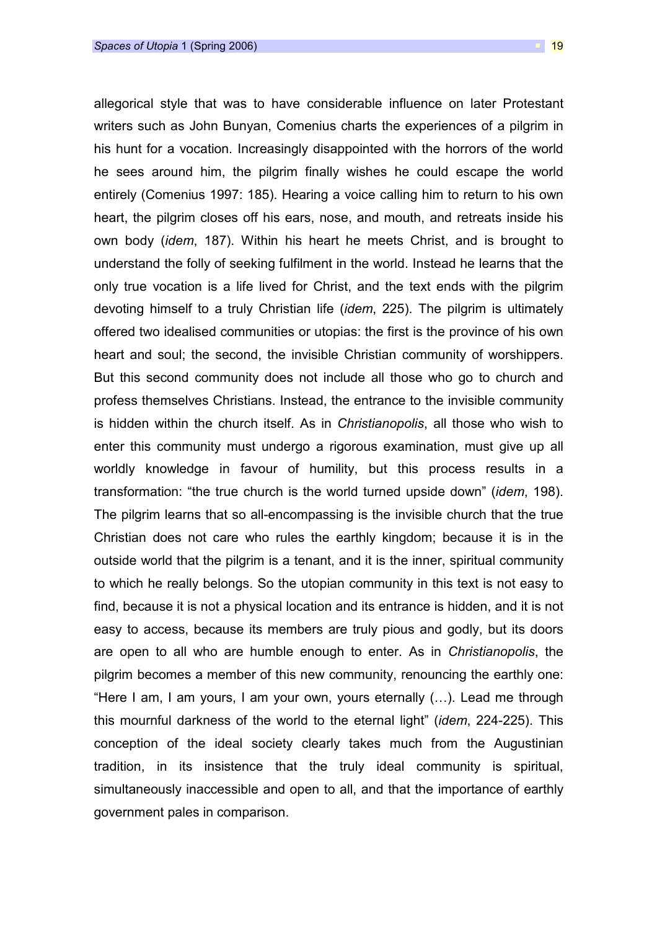allegorical style that was to have considerable influence on later Protestant writers such as John Bunyan, Comenius charts the experiences of a pilgrim in his hunt for a vocation. Increasingly disappointed with the horrors of the world he sees around him, the pilgrim finally wishes he could escape the world entirely (Comenius 1997: 185). Hearing a voice calling him to return to his own heart, the pilgrim closes off his ears, nose, and mouth, and retreats inside his own body (idem, 187). Within his heart he meets Christ, and is brought to understand the folly of seeking fulfilment in the world. Instead he learns that the only true vocation is a life lived for Christ, and the text ends with the pilgrim devoting himself to a truly Christian life (idem, 225). The pilgrim is ultimately offered two idealised communities or utopias: the first is the province of his own heart and soul; the second, the invisible Christian community of worshippers. But this second community does not include all those who go to church and profess themselves Christians. Instead, the entrance to the invisible community is hidden within the church itself. As in Christianopolis, all those who wish to enter this community must undergo a rigorous examination, must give up all worldly knowledge in favour of humility, but this process results in a transformation: "the true church is the world turned upside down" (idem, 198). The pilgrim learns that so all-encompassing is the invisible church that the true Christian does not care who rules the earthly kingdom; because it is in the outside world that the pilgrim is a tenant, and it is the inner, spiritual community to which he really belongs. So the utopian community in this text is not easy to find, because it is not a physical location and its entrance is hidden, and it is not easy to access, because its members are truly pious and godly, but its doors are open to all who are humble enough to enter. As in Christianopolis, the pilgrim becomes a member of this new community, renouncing the earthly one: "Here I am, I am yours, I am your own, yours eternally (…). Lead me through this mournful darkness of the world to the eternal light" (idem, 224-225). This conception of the ideal society clearly takes much from the Augustinian tradition, in its insistence that the truly ideal community is spiritual, simultaneously inaccessible and open to all, and that the importance of earthly government pales in comparison.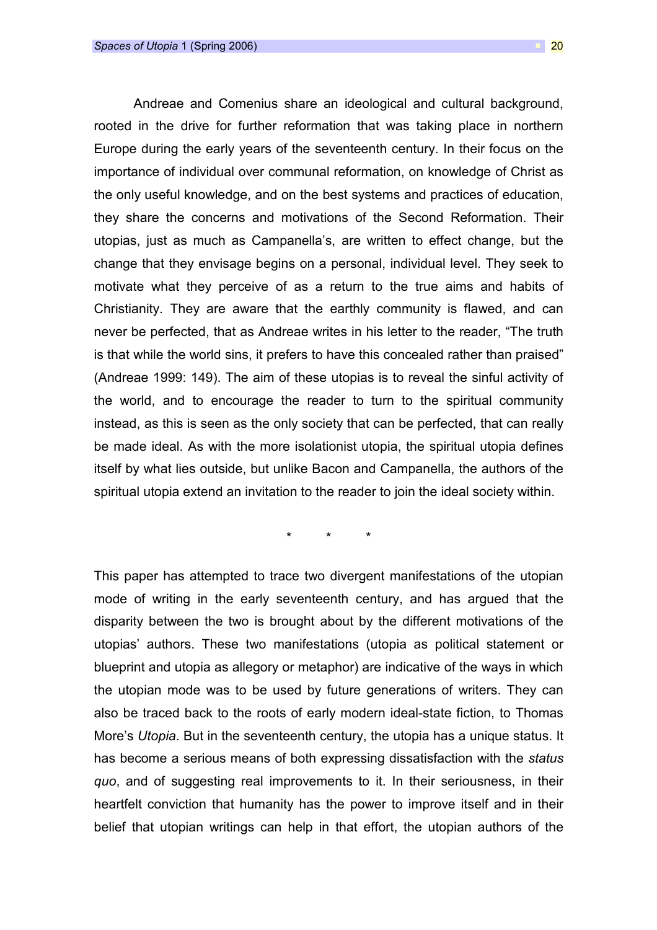Andreae and Comenius share an ideological and cultural background, rooted in the drive for further reformation that was taking place in northern Europe during the early years of the seventeenth century. In their focus on the importance of individual over communal reformation, on knowledge of Christ as the only useful knowledge, and on the best systems and practices of education, they share the concerns and motivations of the Second Reformation. Their utopias, just as much as Campanella's, are written to effect change, but the change that they envisage begins on a personal, individual level. They seek to motivate what they perceive of as a return to the true aims and habits of Christianity. They are aware that the earthly community is flawed, and can never be perfected, that as Andreae writes in his letter to the reader, "The truth is that while the world sins, it prefers to have this concealed rather than praised" (Andreae 1999: 149). The aim of these utopias is to reveal the sinful activity of the world, and to encourage the reader to turn to the spiritual community instead, as this is seen as the only society that can be perfected, that can really be made ideal. As with the more isolationist utopia, the spiritual utopia defines itself by what lies outside, but unlike Bacon and Campanella, the authors of the spiritual utopia extend an invitation to the reader to join the ideal society within.

\* \* \*

This paper has attempted to trace two divergent manifestations of the utopian mode of writing in the early seventeenth century, and has argued that the disparity between the two is brought about by the different motivations of the utopias' authors. These two manifestations (utopia as political statement or blueprint and utopia as allegory or metaphor) are indicative of the ways in which the utopian mode was to be used by future generations of writers. They can also be traced back to the roots of early modern ideal-state fiction, to Thomas More's Utopia. But in the seventeenth century, the utopia has a unique status. It has become a serious means of both expressing dissatisfaction with the status quo, and of suggesting real improvements to it. In their seriousness, in their heartfelt conviction that humanity has the power to improve itself and in their belief that utopian writings can help in that effort, the utopian authors of the